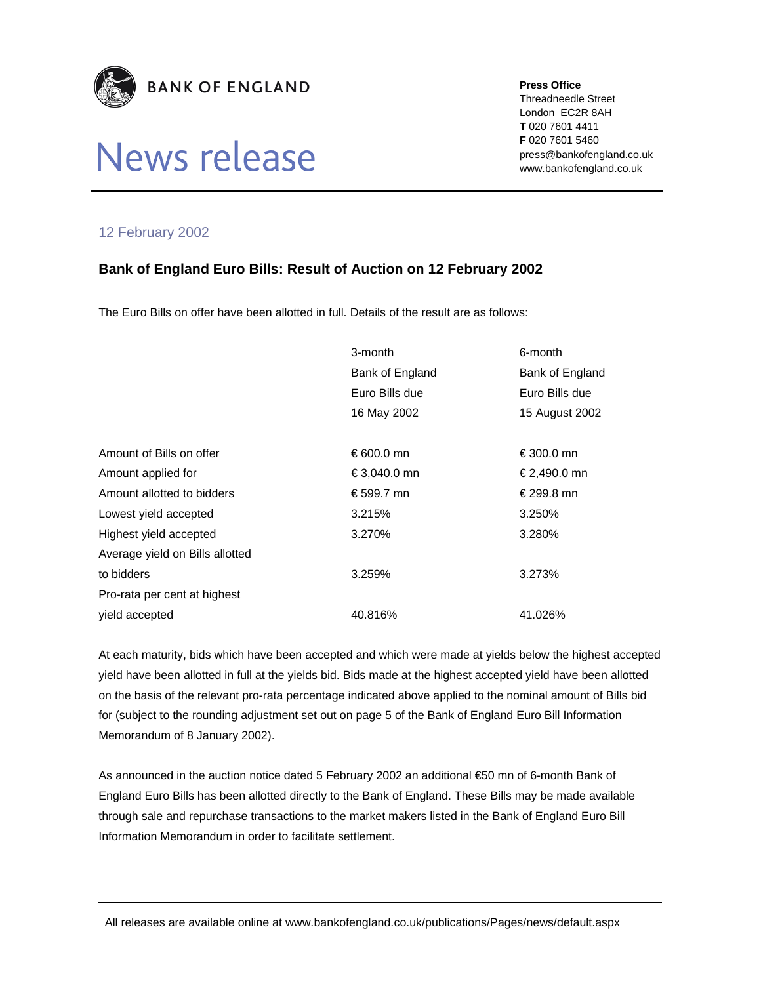

## News release

**Press Office** 

Threadneedle Street London EC2R 8AH **T** 020 7601 4411 **F** 020 7601 5460 press@bankofengland.co.uk www.bankofengland.co.uk

## 12 February 2002

## **Bank of England Euro Bills: Result of Auction on 12 February 2002**

The Euro Bills on offer have been allotted in full. Details of the result are as follows:

|                                 | 3-month         | 6-month         |
|---------------------------------|-----------------|-----------------|
|                                 | Bank of England | Bank of England |
|                                 | Euro Bills due  | Euro Bills due  |
|                                 | 16 May 2002     | 15 August 2002  |
|                                 |                 |                 |
| Amount of Bills on offer        | € 600.0 mn      | €300.0 mn       |
| Amount applied for              | €3,040.0 mn     | €2,490.0 mn     |
| Amount allotted to bidders      | €599.7 mn       | € 299.8 mn      |
| Lowest yield accepted           | 3.215%          | 3.250%          |
| Highest yield accepted          | 3.270%          | 3.280%          |
| Average yield on Bills allotted |                 |                 |
| to bidders                      | 3.259%          | 3.273%          |
| Pro-rata per cent at highest    |                 |                 |
| vield accepted                  | 40.816%         | 41.026%         |

At each maturity, bids which have been accepted and which were made at yields below the highest accepted yield have been allotted in full at the yields bid. Bids made at the highest accepted yield have been allotted on the basis of the relevant pro-rata percentage indicated above applied to the nominal amount of Bills bid for (subject to the rounding adjustment set out on page 5 of the Bank of England Euro Bill Information Memorandum of 8 January 2002).

As announced in the auction notice dated 5 February 2002 an additional €50 mn of 6-month Bank of England Euro Bills has been allotted directly to the Bank of England. These Bills may be made available through sale and repurchase transactions to the market makers listed in the Bank of England Euro Bill Information Memorandum in order to facilitate settlement.